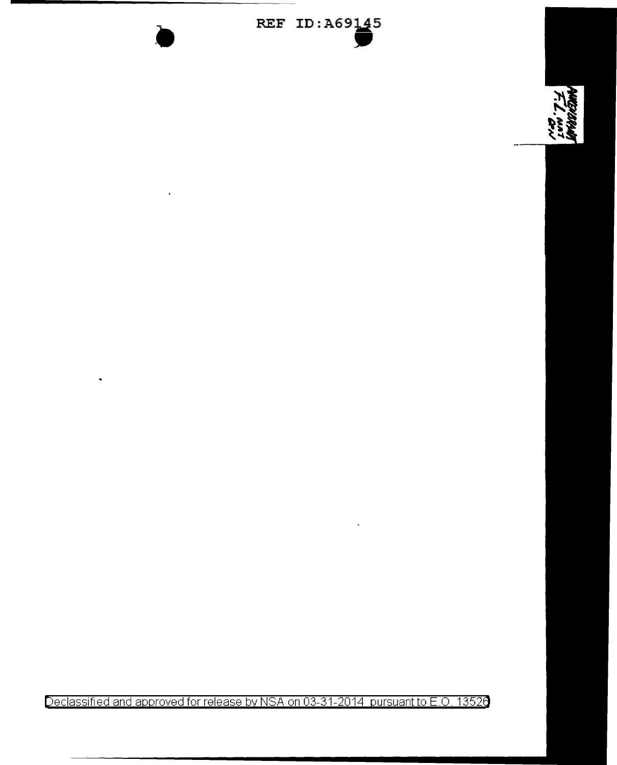

••

 $\ddot{\phantom{0}}$ 



Declassified and approved for release by NSA on 03-31-2014 pursuant to E.O. 13526